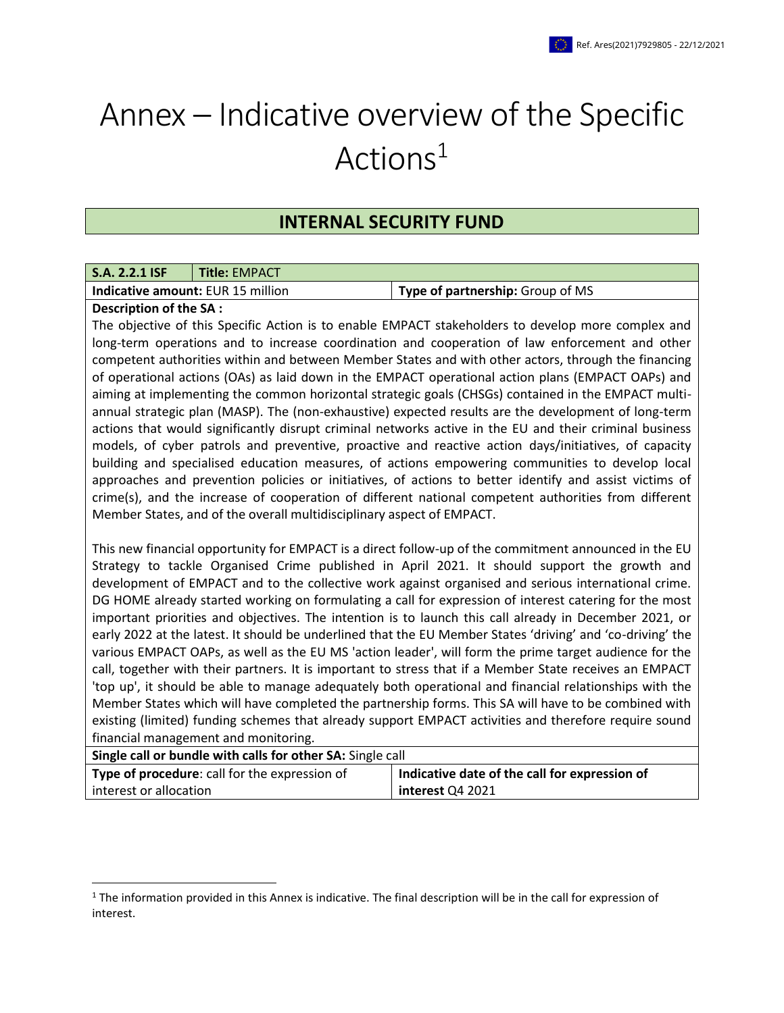## Annex – Indicative overview of the Specific Actions<sup>1</sup>

## **INTERNAL SECURITY FUND**

| <b>S.A. 2.2.1 ISF</b>                    | <b>Title: EMPACT</b> |                                  |
|------------------------------------------|----------------------|----------------------------------|
| <b>Indicative amount: EUR 15 million</b> |                      | Type of partnership: Group of MS |
|                                          |                      |                                  |

## **Description of the SA :**

 $\overline{\phantom{a}}$ 

The objective of this Specific Action is to enable EMPACT stakeholders to develop more complex and long-term operations and to increase coordination and cooperation of law enforcement and other competent authorities within and between Member States and with other actors, through the financing of operational actions (OAs) as laid down in the EMPACT operational action plans (EMPACT OAPs) and aiming at implementing the common horizontal strategic goals (CHSGs) contained in the EMPACT multiannual strategic plan (MASP). The (non-exhaustive) expected results are the development of long-term actions that would significantly disrupt criminal networks active in the EU and their criminal business models, of cyber patrols and preventive, proactive and reactive action days/initiatives, of capacity building and specialised education measures, of actions empowering communities to develop local approaches and prevention policies or initiatives, of actions to better identify and assist victims of crime(s), and the increase of cooperation of different national competent authorities from different Member States, and of the overall multidisciplinary aspect of EMPACT.

This new financial opportunity for EMPACT is a direct follow-up of the commitment announced in the EU Strategy to tackle Organised Crime published in April 2021. It should support the growth and development of EMPACT and to the collective work against organised and serious international crime. DG HOME already started working on formulating a call for expression of interest catering for the most important priorities and objectives. The intention is to launch this call already in December 2021, or early 2022 at the latest. It should be underlined that the EU Member States 'driving' and 'co-driving' the various EMPACT OAPs, as well as the EU MS 'action leader', will form the prime target audience for the call, together with their partners. It is important to stress that if a Member State receives an EMPACT 'top up', it should be able to manage adequately both operational and financial relationships with the Member States which will have completed the partnership forms. This SA will have to be combined with existing (limited) funding schemes that already support EMPACT activities and therefore require sound financial management and monitoring.

| Single call or bundle with calls for other SA: Single call |                                               |  |  |  |  |
|------------------------------------------------------------|-----------------------------------------------|--|--|--|--|
| Type of procedure: call for the expression of              | Indicative date of the call for expression of |  |  |  |  |
| interest or allocation                                     | interest Q4 2021                              |  |  |  |  |

 $1$  The information provided in this Annex is indicative. The final description will be in the call for expression of interest.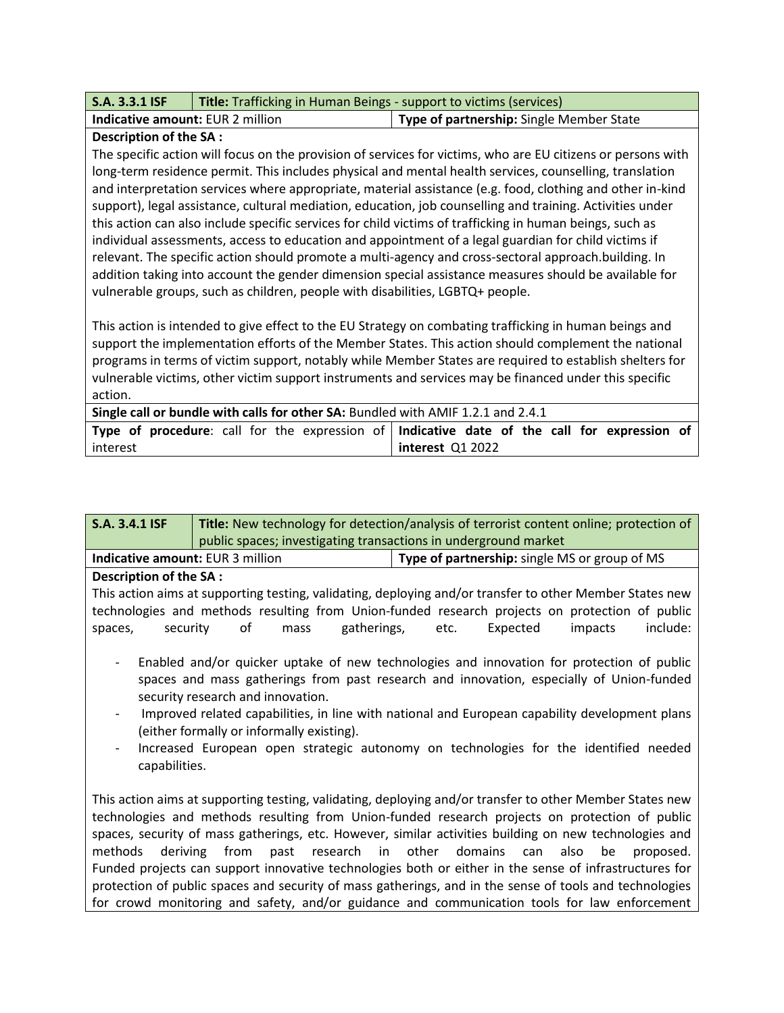| <b>S.A. 3.3.1 ISF</b>                   | <b>Title:</b> Trafficking in Human Beings - support to victims (services) |                                          |
|-----------------------------------------|---------------------------------------------------------------------------|------------------------------------------|
| <b>Indicative amount: EUR 2 million</b> |                                                                           | Type of partnership: Single Member State |

## **Description of the SA :**

The specific action will focus on the provision of services for victims, who are EU citizens or persons with long-term residence permit. This includes physical and mental health services, counselling, translation and interpretation services where appropriate, material assistance (e.g. food, clothing and other in-kind support), legal assistance, cultural mediation, education, job counselling and training. Activities under this action can also include specific services for child victims of trafficking in human beings, such as individual assessments, access to education and appointment of a legal guardian for child victims if relevant. The specific action should promote a multi-agency and cross-sectoral approach.building. In addition taking into account the gender dimension special assistance measures should be available for vulnerable groups, such as children, people with disabilities, LGBTQ+ people.

This action is intended to give effect to the EU Strategy on combating trafficking in human beings and support the implementation efforts of the Member States. This action should complement the national programs in terms of victim support, notably while Member States are required to establish shelters for vulnerable victims, other victim support instruments and services may be financed under this specific action.

| Single call or bundle with calls for other SA: Bundled with AMIF 1.2.1 and 2.4.1 |                                                                                             |  |  |  |  |  |
|----------------------------------------------------------------------------------|---------------------------------------------------------------------------------------------|--|--|--|--|--|
|                                                                                  | Type of procedure: call for the expression of Indicative date of the call for expression of |  |  |  |  |  |
| interest                                                                         | interest Q1 2022                                                                            |  |  |  |  |  |

| <b>S.A. 3.4.1 ISF</b>                                                                                                                                                                                                      | Title: New technology for detection/analysis of terrorist content online; protection of |                     |      |          |                                                                                                                                                                                                                                   |  |  |
|----------------------------------------------------------------------------------------------------------------------------------------------------------------------------------------------------------------------------|-----------------------------------------------------------------------------------------|---------------------|------|----------|-----------------------------------------------------------------------------------------------------------------------------------------------------------------------------------------------------------------------------------|--|--|
|                                                                                                                                                                                                                            | public spaces; investigating transactions in underground market                         |                     |      |          |                                                                                                                                                                                                                                   |  |  |
| Indicative amount: EUR 3 million                                                                                                                                                                                           |                                                                                         |                     |      |          | Type of partnership: single MS or group of MS                                                                                                                                                                                     |  |  |
| <b>Description of the SA:</b>                                                                                                                                                                                              |                                                                                         |                     |      |          |                                                                                                                                                                                                                                   |  |  |
| spaces,<br>security                                                                                                                                                                                                        | of                                                                                      | gatherings,<br>mass | etc. | Expected | This action aims at supporting testing, validating, deploying and/or transfer to other Member States new<br>technologies and methods resulting from Union-funded research projects on protection of public<br>include:<br>impacts |  |  |
| Enabled and/or quicker uptake of new technologies and innovation for protection of public<br>spaces and mass gatherings from past research and innovation, especially of Union-funded<br>security research and innovation. |                                                                                         |                     |      |          |                                                                                                                                                                                                                                   |  |  |
|                                                                                                                                                                                                                            | (either formally or informally existing).                                               |                     |      |          | Improved related capabilities, in line with national and European capability development plans                                                                                                                                    |  |  |
| capabilities.                                                                                                                                                                                                              |                                                                                         |                     |      |          | Increased European open strategic autonomy on technologies for the identified needed                                                                                                                                              |  |  |
| This action aims at supporting testing, validating, deploying and/or transfer to other Member States new                                                                                                                   |                                                                                         |                     |      |          |                                                                                                                                                                                                                                   |  |  |
| technologies and methods resulting from Union-funded research projects on protection of public                                                                                                                             |                                                                                         |                     |      |          |                                                                                                                                                                                                                                   |  |  |
| spaces, security of mass gatherings, etc. However, similar activities building on new technologies and                                                                                                                     |                                                                                         |                     |      |          |                                                                                                                                                                                                                                   |  |  |
| methods deriving from<br>past research in other domains can<br>be<br>also<br>proposed.                                                                                                                                     |                                                                                         |                     |      |          |                                                                                                                                                                                                                                   |  |  |
| Funded projects can support innovative technologies both or either in the sense of infrastructures for                                                                                                                     |                                                                                         |                     |      |          |                                                                                                                                                                                                                                   |  |  |
| protection of public spaces and security of mass gatherings, and in the sense of tools and technologies                                                                                                                    |                                                                                         |                     |      |          |                                                                                                                                                                                                                                   |  |  |
| for crowd monitoring and safety, and/or guidance and communication tools for law enforcement                                                                                                                               |                                                                                         |                     |      |          |                                                                                                                                                                                                                                   |  |  |